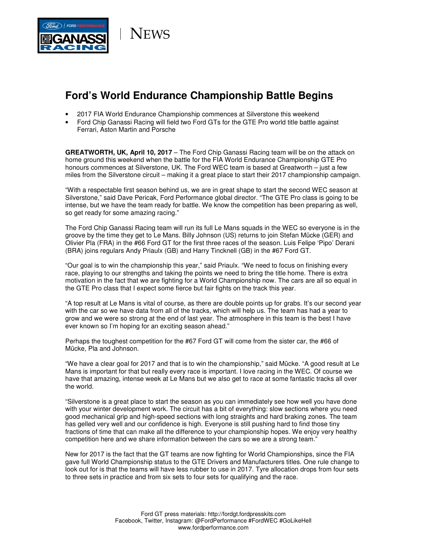

**NEWS** 

## **Ford's World Endurance Championship Battle Begins**

- 2017 FIA World Endurance Championship commences at Silverstone this weekend
- Ford Chip Ganassi Racing will field two Ford GTs for the GTE Pro world title battle against Ferrari, Aston Martin and Porsche

**GREATWORTH, UK, April 10, 2017** – The Ford Chip Ganassi Racing team will be on the attack on home ground this weekend when the battle for the FIA World Endurance Championship GTE Pro honours commences at Silverstone, UK. The Ford WEC team is based at Greatworth – just a few miles from the Silverstone circuit – making it a great place to start their 2017 championship campaign.

"With a respectable first season behind us, we are in great shape to start the second WEC season at Silverstone," said Dave Pericak, Ford Performance global director. "The GTE Pro class is going to be intense, but we have the team ready for battle. We know the competition has been preparing as well, so get ready for some amazing racing."

The Ford Chip Ganassi Racing team will run its full Le Mans squads in the WEC so everyone is in the groove by the time they get to Le Mans. Billy Johnson (US) returns to join Stefan Mücke (GER) and Olivier Pla (FRA) in the #66 Ford GT for the first three races of the season. Luis Felipe 'Pipo' Derani (BRA) joins regulars Andy Priaulx (GB) and Harry Tincknell (GB) in the #67 Ford GT.

"Our goal is to win the championship this year," said Priaulx. "We need to focus on finishing every race, playing to our strengths and taking the points we need to bring the title home. There is extra motivation in the fact that we are fighting for a World Championship now. The cars are all so equal in the GTE Pro class that I expect some fierce but fair fights on the track this year.

"A top result at Le Mans is vital of course, as there are double points up for grabs. It's our second year with the car so we have data from all of the tracks, which will help us. The team has had a year to grow and we were so strong at the end of last year. The atmosphere in this team is the best I have ever known so I'm hoping for an exciting season ahead."

Perhaps the toughest competition for the #67 Ford GT will come from the sister car, the #66 of Mücke, Pla and Johnson.

"We have a clear goal for 2017 and that is to win the championship," said Mücke. "A good result at Le Mans is important for that but really every race is important. I love racing in the WEC. Of course we have that amazing, intense week at Le Mans but we also get to race at some fantastic tracks all over the world.

"Silverstone is a great place to start the season as you can immediately see how well you have done with your winter development work. The circuit has a bit of everything: slow sections where you need good mechanical grip and high-speed sections with long straights and hard braking zones. The team has gelled very well and our confidence is high. Everyone is still pushing hard to find those tiny fractions of time that can make all the difference to your championship hopes. We enjoy very healthy competition here and we share information between the cars so we are a strong team."

New for 2017 is the fact that the GT teams are now fighting for World Championships, since the FIA gave full World Championship status to the GTE Drivers and Manufacturers titles. One rule change to look out for is that the teams will have less rubber to use in 2017. Tyre allocation drops from four sets to three sets in practice and from six sets to four sets for qualifying and the race.